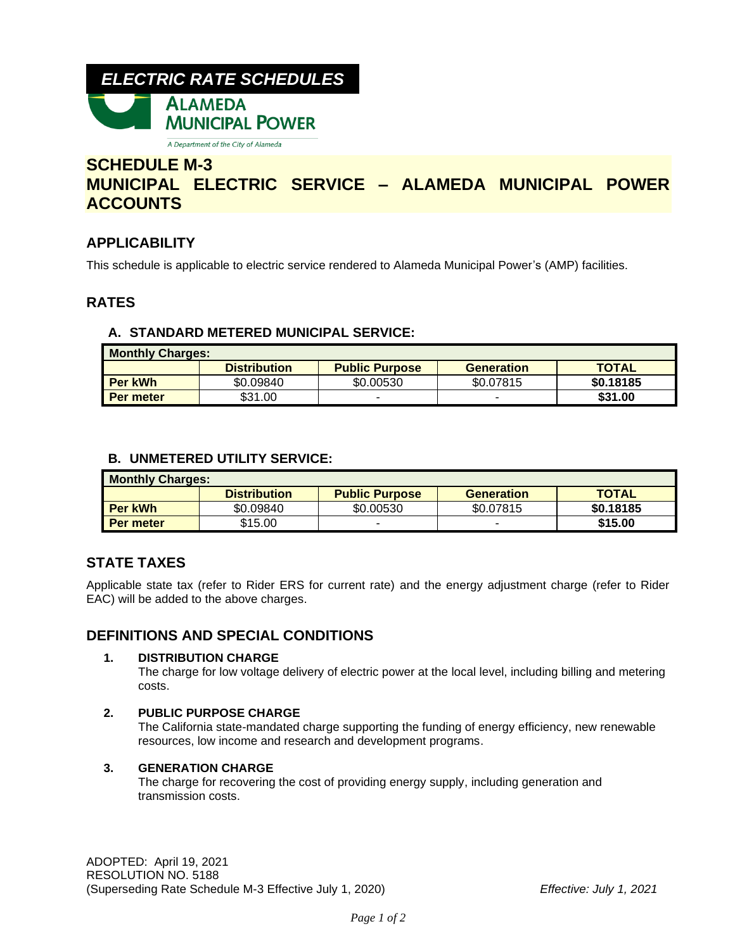# *ELECTRIC RATE SCHEDULES* **ALAMEDA MUNICIPAL POWER**

A Department of the City of Alameda

## **SCHEDULE M-3 MUNICIPAL ELECTRIC SERVICE – ALAMEDA MUNICIPAL POWER ACCOUNTS**

## **APPLICABILITY**

This schedule is applicable to electric service rendered to Alameda Municipal Power's (AMP) facilities.

### **RATES**

### **A. STANDARD METERED MUNICIPAL SERVICE:**

| <b>Monthly Charges:</b> |                     |                       |            |              |  |  |
|-------------------------|---------------------|-----------------------|------------|--------------|--|--|
|                         | <b>Distribution</b> | <b>Public Purpose</b> | Generation | <b>TOTAL</b> |  |  |
| <b>Per kWh</b>          | \$0.09840           | \$0.00530             | \$0.07815  | \$0.18185    |  |  |
| Per meter               | \$31.00             |                       | -          | \$31.00      |  |  |

### **B. UNMETERED UTILITY SERVICE:**

| <b>Monthly Charges:</b> |                     |                       |                   |              |  |  |
|-------------------------|---------------------|-----------------------|-------------------|--------------|--|--|
|                         | <b>Distribution</b> | <b>Public Purpose</b> | <b>Generation</b> | <b>TOTAL</b> |  |  |
| <b>Per kWh</b>          | \$0.09840           | \$0.00530             | \$0.07815         | \$0.18185    |  |  |
| Per meter               | \$15.00             |                       |                   | \$15.00      |  |  |

### **STATE TAXES**

Applicable state tax (refer to Rider ERS for current rate) and the energy adjustment charge (refer to Rider EAC) will be added to the above charges.

### **DEFINITIONS AND SPECIAL CONDITIONS**

### **1. DISTRIBUTION CHARGE**

The charge for low voltage delivery of electric power at the local level, including billing and metering costs.

### **2. PUBLIC PURPOSE CHARGE**

The California state-mandated charge supporting the funding of energy efficiency, new renewable resources, low income and research and development programs.

### **3. GENERATION CHARGE**

The charge for recovering the cost of providing energy supply, including generation and transmission costs.